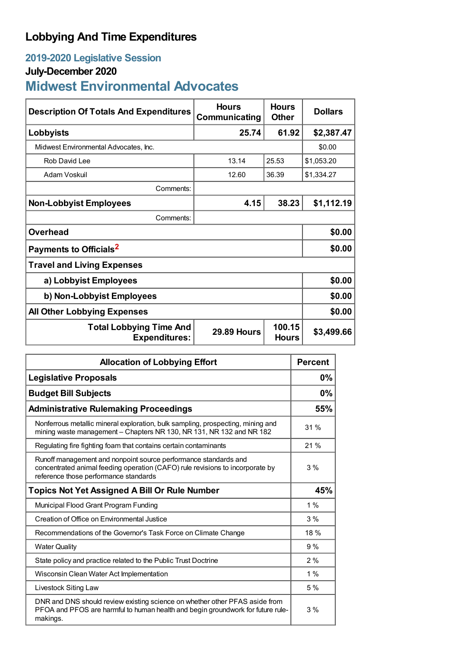## **Lobbying And Time Expenditures**

## **2019-2020 Legislative Session**

## **July-December 2020**

# **Midwest Environmental Advocates**

| <b>Description Of Totals And Expenditures</b>          | <b>Hours</b><br>Communicating | <b>Hours</b><br><b>Other</b> | <b>Dollars</b> |
|--------------------------------------------------------|-------------------------------|------------------------------|----------------|
| Lobbyists                                              | 25.74                         | 61.92                        | \$2,387.47     |
| Midwest Environmental Advocates, Inc.                  |                               |                              | \$0.00         |
| Rob David Lee                                          | 13.14                         | 25.53                        | \$1,053.20     |
| Adam Voskuil                                           | 12.60                         | 36.39                        | \$1,334.27     |
| Comments:                                              |                               |                              |                |
| <b>Non-Lobbyist Employees</b>                          | 4.15                          | 38.23                        | \$1,112.19     |
| Comments:                                              |                               |                              |                |
| <b>Overhead</b>                                        |                               |                              | \$0.00         |
| Payments to Officials <sup>2</sup>                     |                               |                              | \$0.00         |
| <b>Travel and Living Expenses</b>                      |                               |                              |                |
| a) Lobbyist Employees                                  | \$0.00                        |                              |                |
| b) Non-Lobbyist Employees                              | \$0.00                        |                              |                |
| <b>All Other Lobbying Expenses</b>                     |                               |                              | \$0.00         |
| <b>Total Lobbying Time And</b><br><b>Expenditures:</b> | <b>29.89 Hours</b>            | 100.15<br><b>Hours</b>       | \$3,499.66     |

| <b>Allocation of Lobbying Effort</b>                                                                                                                                                      |       |
|-------------------------------------------------------------------------------------------------------------------------------------------------------------------------------------------|-------|
| <b>Legislative Proposals</b>                                                                                                                                                              | 0%    |
| <b>Budget Bill Subjects</b>                                                                                                                                                               | 0%    |
| <b>Administrative Rulemaking Proceedings</b>                                                                                                                                              | 55%   |
| Nonferrous metallic mineral exploration, bulk sampling, prospecting, mining and<br>mining waste management - Chapters NR 130, NR 131, NR 132 and NR 182                                   | 31%   |
| Regulating fire fighting foam that contains certain contaminants                                                                                                                          | 21 %  |
| Runoff management and nonpoint source performance standards and<br>concentrated animal feeding operation (CAFO) rule revisions to incorporate by<br>reference those performance standards | 3%    |
| <b>Topics Not Yet Assigned A Bill Or Rule Number</b>                                                                                                                                      | 45%   |
| Municipal Flood Grant Program Funding                                                                                                                                                     | $1\%$ |
| Creation of Office on Environmental Justice                                                                                                                                               | $3\%$ |
| Recommendations of the Governor's Task Force on Climate Change                                                                                                                            | 18 %  |
| <b>Water Quality</b>                                                                                                                                                                      | 9%    |
| State policy and practice related to the Public Trust Doctrine                                                                                                                            | 2%    |
| Wisconsin Clean Water Act Implementation                                                                                                                                                  | 1%    |
| Livestock Siting Law                                                                                                                                                                      | 5%    |
| DNR and DNS should review existing science on whether other PFAS aside from<br>PFOA and PFOS are harmful to human health and begin groundwork for future rule-<br>makings.                |       |